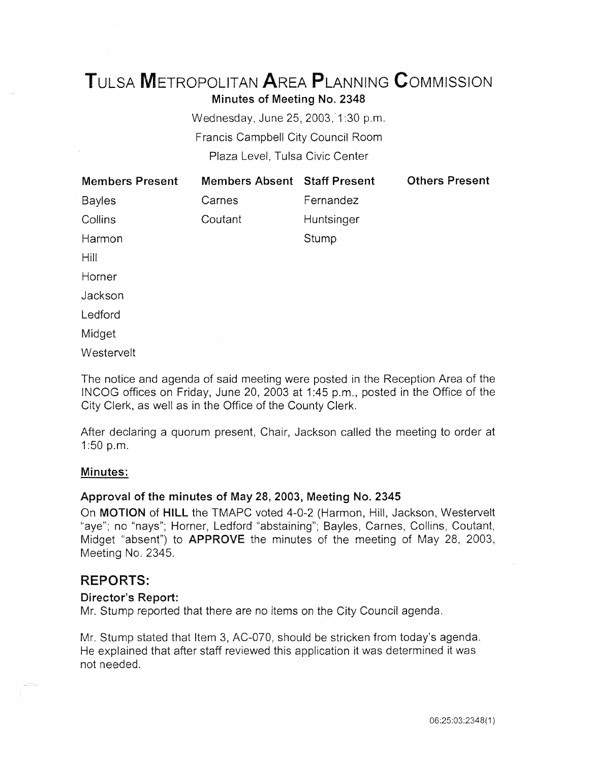# TuLSA METROPOLITAN AREA PLANNING CoMMISSION Minutes of Meeting No. 2348

Wednesday, June 25, 2003,'1 :30 p.m. Francis Campbell City Council Room Plaza Level, Tulsa Civic Center

| <b>Members Present</b> | <b>Members Absent Staff Present</b> |            | <b>Others Present</b> |
|------------------------|-------------------------------------|------------|-----------------------|
| <b>Bayles</b>          | Carnes                              | Fernandez  |                       |
| Collins                | Coutant                             | Huntsinger |                       |
| Harmon                 |                                     | Stump      |                       |
| Hill                   |                                     |            |                       |
| Horner                 |                                     |            |                       |
| Jackson                |                                     |            |                       |
| Ledford                |                                     |            |                       |
| Midget                 |                                     |            |                       |
| Westervelt             |                                     |            |                       |

The notice and agenda of said meeting were posted in the Reception Area of the IN COG offices on Friday, June 20, 2003 at 1:45 p.m., posted in the Office of the City Clerk, as well as in the Office of the County Clerk.

After declaring a quorum present, Chair, Jackson called the meeting to order at 1:50 p.m.

# Minutes:

# Approval of the minutes of May 28, 2003, Meeting No. 2345

On MOTION of HILL the TMAPC voted 4-0-2 (Harmon, Hill, Jackson, Westervelt "aye"; no "nays"; Horner, Ledford "abstaining"; Bayles, Carnes, Collins, Coutant, Midget "absent") to APPROVE the minutes of the meeting of May 28, 2003, Meeting No. 2345.

# REPORTS:

#### Director's Report:

Mr. Stump reported that there are no items on the City Council agenda.

Mr. Stump stated that Item 3, AC-070, should be stricken from today's agenda. He explained that after staff reviewed this application it was determined it was not needed.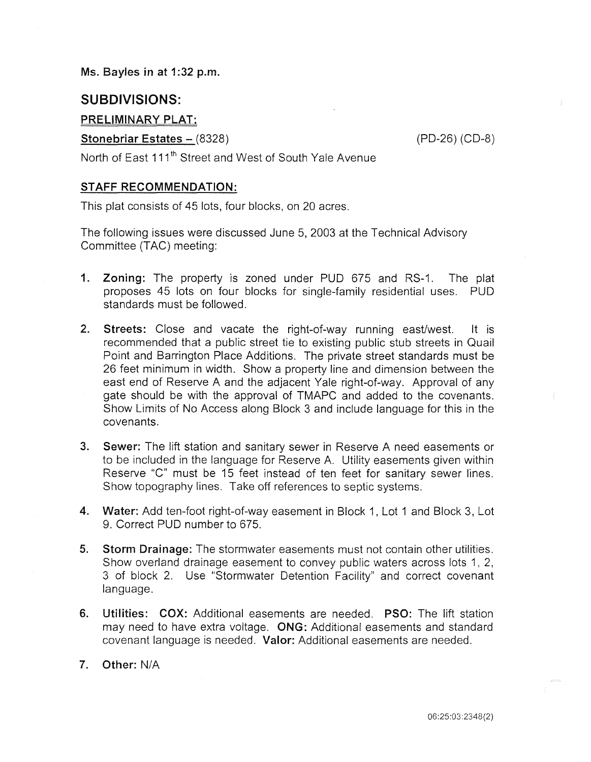Ms. Bayles in at 1:32 p.m.

# SUBDIVISIONS:

## PRELIMINARY PLAT:

## Stonebriar Estates – (8328) (PD-26) (CD-8)

North of East 111<sup>th</sup> Street and West of South Yale Avenue

## STAFF RECOMMENDATION:

This plat consists of 45 lots, four blocks, on 20 acres.

The following issues were discussed June 5, 2003 at the Technical Advisory Committee (TAC) meeting:

- 1. Zoning: The property is zoned under PUD 675 and RS-1. The plat proposes 45 lots on four blocks for single-family residential uses. PUD standards must be followed.
- 2. Streets: Close and vacate the right-of-way running east/west. It is recommended that a public street tie to existing public stub streets in Quail Point and Barrington Place Additions. The private street standards must be 26 feet minimum in width. Show a property line and dimension between the east end of Reserve A and the adjacent Yale right-of-way. Approval of any gate should be with the approval of TMAPC and added to the covenants. Show Limits of No Access along Block 3 and include language for this in the covenants.
- 3. Sewer: The lift station and sanitary sewer in Reserve A need easements or to be included in the language for Reserve A. Utility easements given within Reserve "C" must be 15 feet instead of ten feet for sanitary sewer lines. Show topography lines. Take off references to septic systems.
- 4. Water: Add ten-foot right-of-way easement in Block 1, Lot 1 and Block 3, Lot 9. Correct PUD number to 675.
- 5. Storm Drainage: The stormwater easements must not contain other utilities. Show overland drainage easement to convey public waters across lots 1, 2, 3 of block 2. Use "Stormwater Detention Facility" and correct covenant language.
- 6. Utilities: COX: Additional easements are needed. PSO: The lift station may need to have extra voltage. ONG: Additional easements and standard covenant language is needed. Valor: Additional easements are needed.
- 7. Other: N/A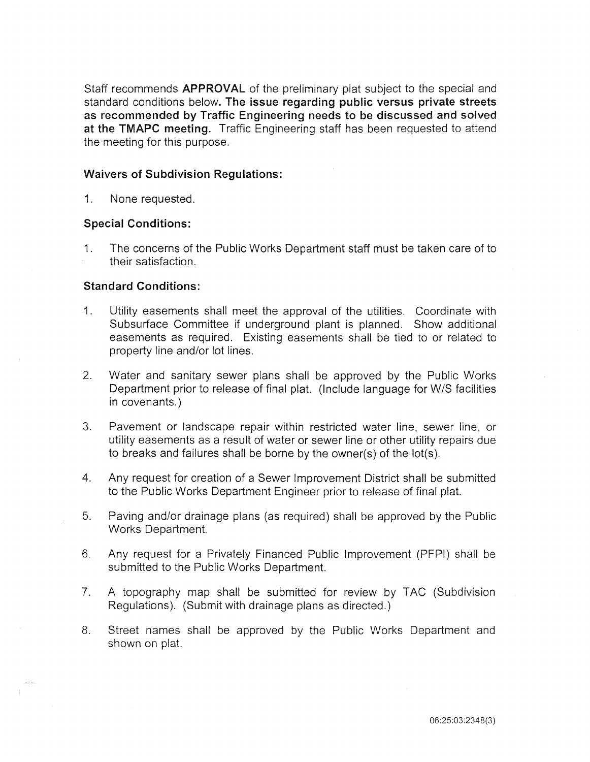Staff recommends **APPROVAL** of the preliminary plat subject to the special and standard conditions below. The issue regarding public versus private streets as recommended by Traffic Engineering needs to be discussed and solved at the TMAPC meeting. Traffic Engineering staff has been requested to attend the meeting for this purpose.

#### Waivers of Subdivision Regulations:

1. None requested.

## Special Conditions:

1. The concerns of the Public Works Department staff must be taken care of to their satisfaction.

# Standard Conditions:

- 1. Utility easements shall meet the approval of the utilities. Coordinate with Subsurface Committee if underground plant is planned. Show additional easements as required. Existing easements shall be tied to or related to property line and/or lot lines.
- 2. Water and sanitary sewer plans shall be approved by the Public Works Department prior to release of final plat. (Include language for W/S facilities in covenants.)
- 3. Pavement or landscape repair within restricted water line, sewer line, or utility easements as a result of water or sewer line or other utility repairs due to breaks and failures shall be borne by the owner(s) of the lot(s).
- 4. Any request for creation of a Sewer Improvement District shall be submitted to the Public Works Department Engineer prior to release of final plat.
- 5. Paving and/or drainage plans (as required) shall be approved by the Public Works Department.
- 6. Any request for a Privately Financed Public Improvement (PFPI) shall be submitted to the Public Works Department.
- 7. A topography map shall be submitted for review by TAC (Subdivision Regulations). (Submit with drainage plans as directed.)
- 8. Street names shall be approved by the Public Works Department and shown on plat.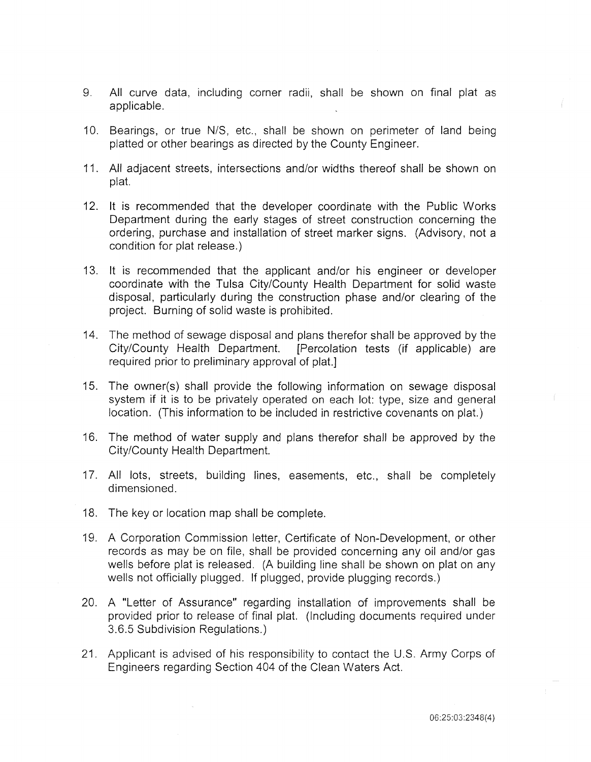- 9. All curve data, including corner radii, shall be shown on final plat as applicable.
- 10. Bearings, or true N/S, etc., shall be shown on perimeter of land being platted or other bearings as directed by the County Engineer.
- 11. All adjacent streets, intersections and/or widths thereof shall be shown on plat.
- 12. It is recommended that the developer coordinate with the Public Works Department during the early stages of street construction concerning the ordering, purchase and installation of street marker signs. (Advisory, not a condition for plat release.)
- 13. It is recommended that the applicant and/or his engineer or developer coordinate with the Tulsa City/County Health Department for solid waste disposal, particularly during the construction phase and/or clearing of the project. Burning of solid waste is prohibited.
- 14. The method of sewage disposal and plans therefor shall be approved by the City/County Health Department. [Percolation tests (if applicable) are required prior to preliminary approval of plat.]
- 15. The owner(s) shall provide the following information on sewage disposal system if it is to be privately operated on each lot: type, size and general location. (This information to be included in restrictive covenants on plat.)
- 16. The method of water supply and plans therefor shall be approved by the City/County Health Department.
- 17. All lots, streets, building lines, easements, etc., shall be completely dimensioned.
- 18. The key or location map shall be complete.
- 19. A Corporation Commission letter, Certificate of Non-Development, or other records as may be on file, shall be provided concerning any oil and/or gas wells before plat is released. (A building line shall be shown on plat on any wells not officially plugged. If plugged, provide plugging records.)
- 20. A "Letter of Assurance" regarding installation of improvements shall be provided prior to release of final plat. (Including documents required under 3.6.5 Subdivision Regulations.)
- 21. Applicant is advised of his responsibility to contact the U.S. Army Corps of Engineers regarding Section 404 of the Clean Waters Act.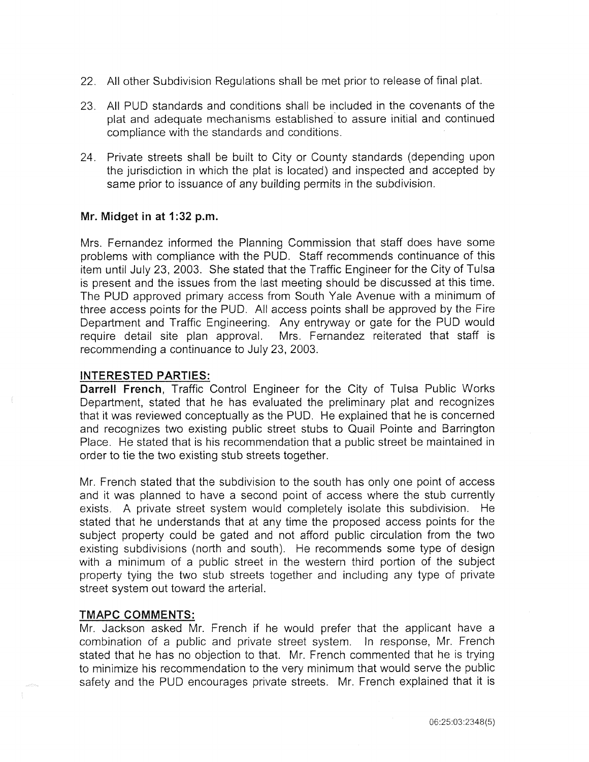- 22. All other Subdivision Regulations shall be met prior to release of final plat.
- 23. All PUD standards and conditions shall be included in the covenants of the plat and adequate mechanisms established to assure initial and continued compliance with the standards and conditions.
- 24. Private streets shall be built to City or County standards (depending upon the jurisdiction in which the plat is located) and inspected and accepted by same prior to issuance of any building permits in the subdivision.

# **Mr. Midget in at 1:32 p.m.**

Mrs. Fernandez informed the Planning Commission that staff does have some problems with compliance with the PUD. Staff recommends continuance of this item until July 23, 2003. She stated that the Traffic Engineer for the City of Tulsa is present and the issues from the last meeting should be discussed at this time. The PUD approved primary access from South Yale Avenue with a minimum of three access points for the PUD. All access points shall be approved by the Fire Department and Traffic Engineering. Any entryway or gate for the PUD would require detail site plan approval. Mrs. Fernandez reiterated that staff is recommending a continuance to July 23, 2003.

#### **INTERESTED PARTIES:**

**Darrell French,** Traffic Control Engineer for the City of Tulsa Public Works Department, stated that he has evaluated the preliminary plat and recognizes that it was reviewed conceptually as the PUD. He explained that he is concerned and recognizes two existing public street stubs to Quail Pointe and Barrington Place. He stated that is his recommendation that a public street be maintained in order to tie the two existing stub streets together.

Mr. French stated that the subdivision to the south has only one point of access and it was planned to have a second point of access where the stub currently exists. A private street system would completely isolate this subdivision. He stated that he understands that at any time the proposed access points for the subject property could be gated and not afford public circulation from the two existing subdivisions (north and south). He recommends some type of design with a minimum of a public street in the western third portion of the subject property tying the two stub streets together and including any type of private street system out toward the arterial.

#### **TMAPC COMMENTS:**

Mr. Jackson asked Mr. French if he would prefer that the applicant have a combination of a public and private street system. In response, Mr. French stated that he has no objection to that. Mr. French commented that he is trying to minimize his recommendation to the very minimum that would serve the public safety and the PUD encourages private streets. Mr. French explained that it is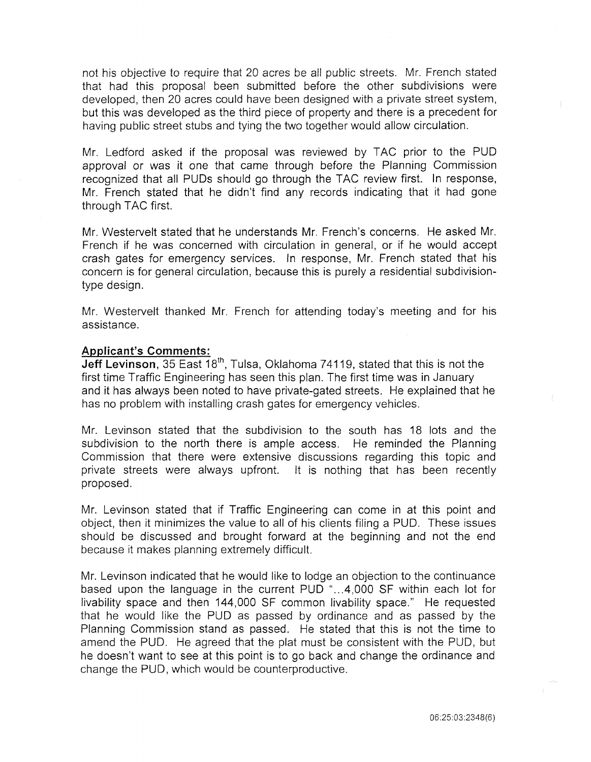not his objective to require that 20 acres be all public streets. Mr. French stated that had this proposal been submitted before the other subdivisions were developed, then 20 acres could have been designed with a private street system, but this was developed as the third piece of property and there is a precedent for having public street stubs and tying the two together would allow circulation.

Mr. Ledford asked if the proposal was reviewed by TAC prior to the PUD approval or was it one that came through before the Planning Commission recognized that all PUDs should go through the TAC review first. In response, Mr. French stated that he didn't find any records indicating that it had gone through TAC first.

Mr. Westervelt stated that he understands Mr. French's concerns. He asked Mr. French if he was concerned with circulation in general, or if he would accept crash gates for emergency services. In response, Mr. French stated that his concern is for general circulation, because this is purely a residential subdivisiontype design.

Mr. Westervelt thanked Mr. French for attending today's meeting and for his assistance.

#### **Applicant's Comments:**

**Jeff Levinson**, 35 East 18<sup>th</sup>, Tulsa, Oklahoma 74119, stated that this is not the first time Traffic Engineering has seen this plan. The first time was in January and it has always been noted to have private-gated streets. He explained that he has no problem with installing crash gates for emergency vehicles.

Mr. Levinson stated that the subdivision to the south has 18 lots and the subdivision to the north there is ample access. He reminded the Planning Commission that there were extensive discussions regarding this topic and private streets were aiways upfront. It is nothing that has been recently proposed.

Mr. Levinson stated that if Traffic Engineering can come in at this point and object, then it minimizes the value to all of his clients filing a PUD. These issues should be discussed and brought forward at the beginning and not the end because it makes planning extremely difficult.

Mr. Levinson indicated that he would like to lodge an objection to the continuance based upon the language in the current  $PUD$  "...4,000 SF within each lot for livability space and then 144,000 SF common livability space." He requested that he would like the PUD as passed by ordinance and as passed by the Planning Commission stand as passed. He stated that this is not the time to amend the PUD. He agreed that the plat must be consistent with the PUO, but he doesn't want to see at this point is to go back and change the ordinance and change the PUD, which would be counterproductive.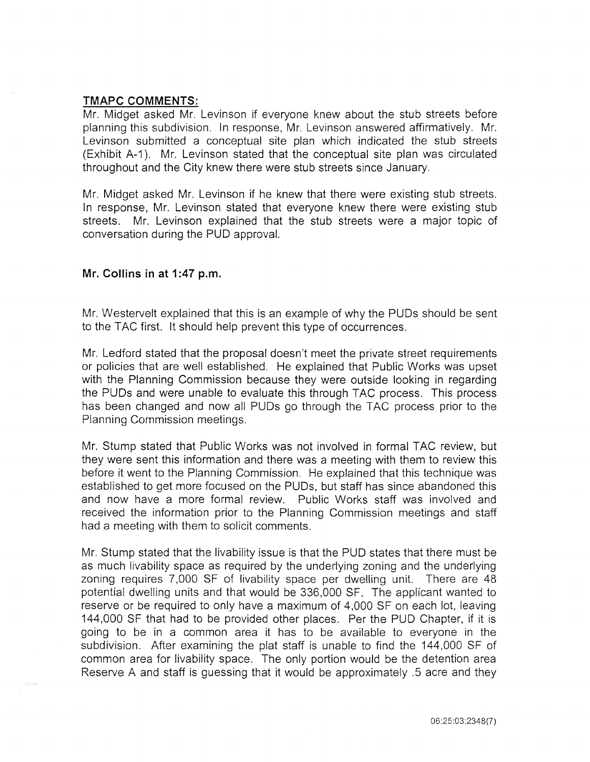# **TMAPC COMMENTS:**

Mr. Midget asked Mr. Levinson if everyone knew about the stub streets before planning this subdivision. In response, Mr. Levinson answered affirmatively. Mr. Levinson submitted a conceptual site plan which indicated the stub streets (Exhibit A-1 ). Mr. Levinson stated that the conceptual site plan was circulated throughout and the City knew there were stub streets since January.

Mr. Midget asked Mr. Levinson if he knew that there were existing stub streets. In response, Mr. Levinson stated that everyone knew there were existing stub streets. Mr. Levinson explained that the stub streets were a major topic of conversation during the PUD approval.

#### **Mr. Collins in at 1:47 p.m.**

Mr. Westervelt explained that this is an example of why the PUDs should be sent to the TAC first. It should help prevent this type of occurrences.

Mr. Ledford stated that the proposal doesn't meet the private street requirements or policies that are well established. He explained that Public Works was upset with the Planning Commission because they were outside looking in regarding the PUDs and were unable to evaluate this through TAC process. This process has been changed and now all PUDs go through the TAC process prior to the Planning Commission meetings.

Mr. Stump stated that Public Works was not involved in formal TAG review, but they were sent this information and there was a meeting with them to review this before it went to the Planning Commission. He explained that this technique was established to get more focused on the PUDs, but staff has since abandoned this and now have a more formal review. Public Works staff was involved and received the information prior to the Planning Commission meetings and staff had a meeting with them to solicit comments.

Mr. Stump stated that the livability issue is that the PUD states that there must be as much livability space as required by the underlying zoning and the underlying zoning requires 7,000 SF of livability space per dwelling unit. There are 48 potential dwelling units and that would be 336,000 SF. The applicant wanted to reserve or be required to only have a maximum of 4,000 SF on each lot, leaving 144,000 SF that had to be provided other places. Per the PUD Chapter, if it is going to be in a common area it has to be available to everyone in the subdivision. After examining the plat staff is unable to find the 144,000 SF of common area for livability space. The only portion would be the detention area Reserve A and staff is guessing that it would be approximately .5 acre and they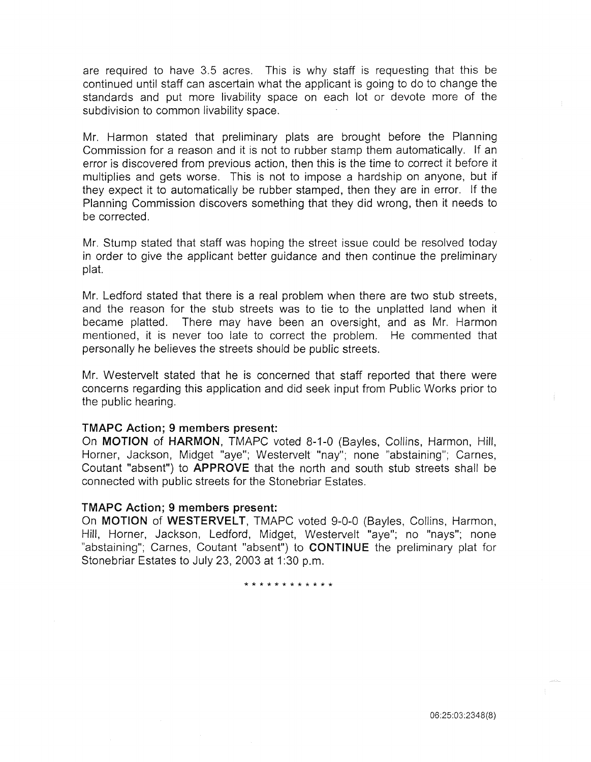are required to have 3.5 acres. This is why staff is requesting that this be continued until staff can ascertain what the applicant is going to do to change the standards and put more livability space on each lot or devote more of the subdivision to common livability space.

Mr. Harmon stated that preliminary plats are brought before the Planning Commission for a reason and it is not to rubber stamp them automatically. If an error is discovered from previous action, then this is the time to correct it before it multiplies and gets worse. This is not to impose a hardship on anyone, but if they expect it to automatically be rubber stamped, then they are in error. If the Planning Commission discovers something that they did wrong, then it needs to be corrected.

Mr. Stump stated that staff was hoping the street issue could be resolved today in order to give the applicant better guidance and then continue the preliminary plat.

Mr. Ledford stated that there is a real problem when there are two stub streets, and the reason for the stub streets was to tie to the unplatted land when it became platted. There may have been an oversight, and as Mr. Harmon mentioned, it is never too late to correct the problem. He commented that personally he believes the streets should be public streets.

Mr. Westervelt stated that he is concerned that staff reported that there were concerns regarding this application and did seek input from Public Works prior to the public hearing.

#### **TMAPC Action; 9 members present:**

On **MOTION of HARMON,** TMAPC voted 8-1-0 (Bayles, Collins, Harmon, Hill, Horner, Jackson, Midget "aye"; Westervelt "nay"; none "abstaining"; Carnes, Coutant "absent") to **APPROVE** that the north and south stub streets shall be connected with public streets for the Stonebriar Estates.

#### **TMAPC Action; 9 members present:**

On **MOTION of WESTERVELT,** TMAPC voted 9-0-0 (Bayles, Collins, Harmon, Hill, Horner, Jackson, Ledford, Midget, Westervelt "aye"; no "nays"; none "abstaining"; Carnes, Coutant "absent") to **CONTINUE** the preliminary plat for Stonebriar Estates to July 23, 2003 at 1:30 p.m.

\* \* \* \* \* \* \* \* \* \* \* \*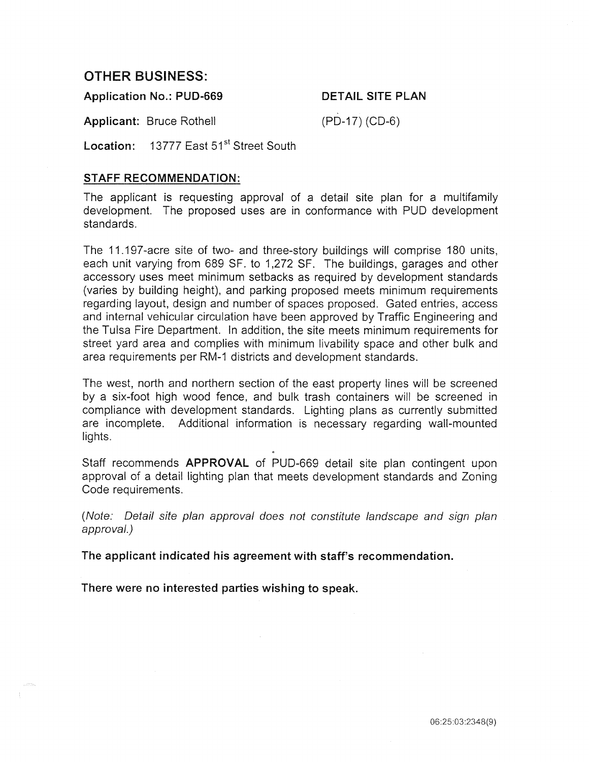# OTHER BUSINESS:

Application No.: PUD-669 DETAIL SITE PLAN

Applicant: Bruce Rothell (PD-17) (CD-6)

Location: 13777 East 51<sup>st</sup> Street South

# STAFF RECOMMENDATION:

The applicant is requesting approval of a detail site plan for a multifamily development. The proposed uses are in conformance with PUD development standards.

The 11.197-acre site of two- and three-story buildings will comprise 180 units, each unit varying from 689 SF. to 1,272 SF. The buildings, garages and other accessory uses meet minimum setbacks as required by development standards (varies by building height), and parking proposed meets minimum requirements regarding layout, design and number of spaces proposed. Gated entries, access and internal vehicular circulation have been approved by Traffic Engineering and the Tulsa Fire Department. In addition, the site meets minimum requirements for street yard area and complies with minimum livability space and other bulk and area requirements per RM-1 districts and development standards.

The west, north and northern section of the east property lines will be screened by a six-foot high wood fence, and bulk trash containers will be screened in compliance with development standards. Lighting plans as currently submitted are incomplete. Additional information is necessary regarding wall-mounted lights.

Staff recommends APPROVAL of PUD-669 detail site plan contingent upon approval of a detail lighting plan that meets development standards and Zoning Code requirements.

(Note: Detail site plan approval does not constitute landscape and sign plan approval.)

The applicant indicated his agreement with staff's recommendation.

There were no interested parties wishing to speak.